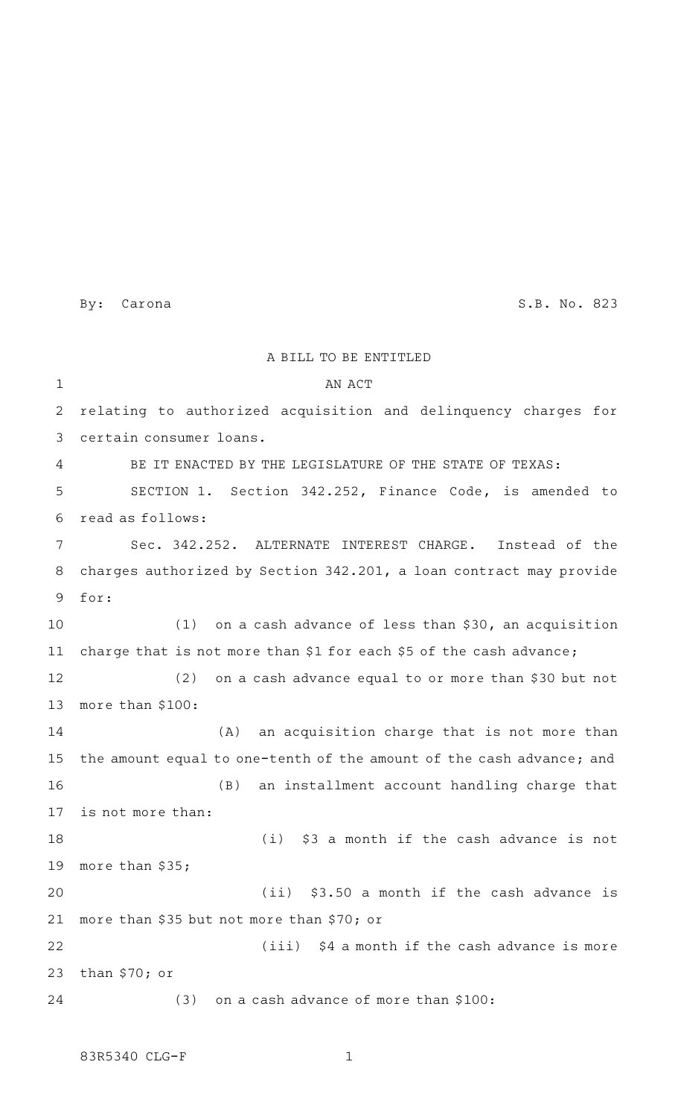By: Carona S.B. No. 823

A BILL TO BE ENTITLED AN ACT relating to authorized acquisition and delinquency charges for certain consumer loans. BE IT ENACTED BY THE LEGISLATURE OF THE STATE OF TEXAS: SECTION 1. Section 342.252, Finance Code, is amended to read as follows: Sec. 342.252. ALTERNATE INTEREST CHARGE. Instead of the charges authorized by Section 342.201, a loan contract may provide for: (1) on a cash advance of less than  $$30$ , an acquisition charge that is not more than \$1 for each \$5 of the cash advance; (2) on a cash advance equal to or more than \$30 but not more than \$100: (A) an acquisition charge that is not more than the amount equal to one-tenth of the amount of the cash advance; and (B) an installment account handling charge that is not more than: (i) \$3 a month if the cash advance is not more than \$35;  $(iii)$  \$3.50 a month if the cash advance is more than \$35 but not more than \$70; or  $(iii)$  \$4 a month if the cash advance is more than \$70; or  $(3)$  on a cash advance of more than \$100: 1 2 3 4 5 6 7 8 9 10 11 12 13 14 15 16 17 18 19 20 21 22 23 24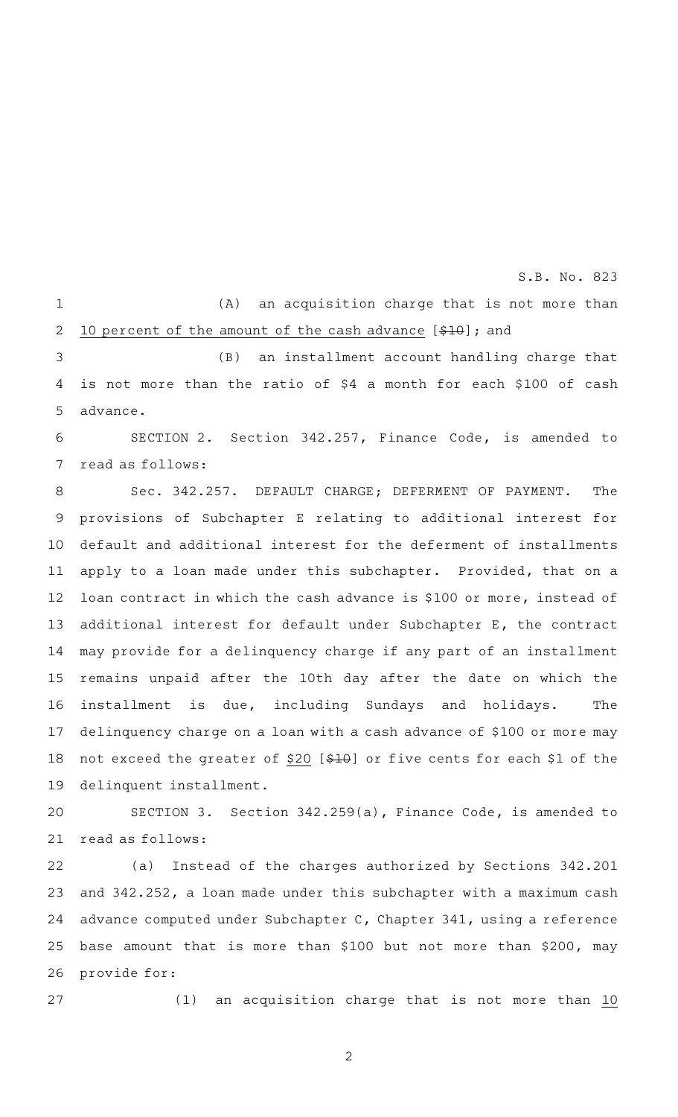S.B. No. 823

 $(A)$  an acquisition charge that is not more than 10 percent of the amount of the cash advance  $[410]$ ; and 1 2

(B) an installment account handling charge that is not more than the ratio of \$4 a month for each \$100 of cash advance. 3 4 5

SECTION 2. Section 342.257, Finance Code, is amended to read as follows: 6 7

Sec. 342.257. DEFAULT CHARGE; DEFERMENT OF PAYMENT. The provisions of Subchapter E relating to additional interest for default and additional interest for the deferment of installments apply to a loan made under this subchapter. Provided, that on a loan contract in which the cash advance is \$100 or more, instead of additional interest for default under Subchapter E, the contract may provide for a delinquency charge if any part of an installment remains unpaid after the 10th day after the date on which the installment is due, including Sundays and holidays. The delinquency charge on a loan with a cash advance of \$100 or more may not exceed the greater of \$20 [\$10] or five cents for each \$1 of the delinquent installment. 8 9 10 11 12 13 14 15 16 17 18 19

SECTION 3. Section 342.259(a), Finance Code, is amended to read as follows: 20 21

(a) Instead of the charges authorized by Sections 342.201 and 342.252, a loan made under this subchapter with a maximum cash advance computed under Subchapter C, Chapter 341, using a reference base amount that is more than \$100 but not more than \$200, may provide for: 22 23 24 25 26

27

 $(1)$  an acquisition charge that is not more than 10